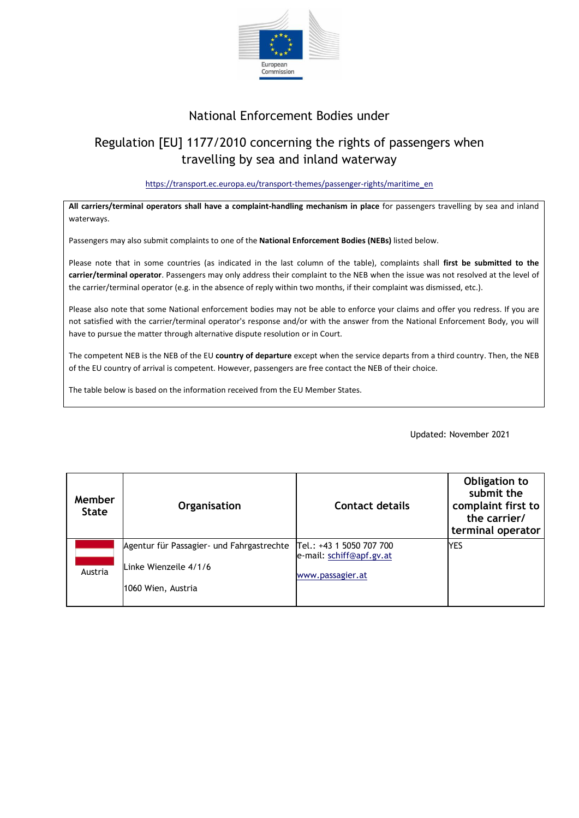

## National Enforcement Bodies under

## Regulation [EU] 1177/2010 concerning the rights of passengers when travelling by sea and inland waterway

## [https://transport.ec.europa.eu/transport-themes/passenger-rights/maritime\\_en](https://transport.ec.europa.eu/transport-themes/passenger-rights/maritime_en)

**All carriers/terminal operators shall have a complaint-handling mechanism in place** for passengers travelling by sea and inland waterways.

Passengers may also submit complaints to one of the **National Enforcement Bodies (NEBs)** listed below.

Please note that in some countries (as indicated in the last column of the table), complaints shall **first be submitted to the carrier/terminal operator**. Passengers may only address their complaint to the NEB when the issue was not resolved at the level of the carrier/terminal operator (e.g. in the absence of reply within two months, if their complaint was dismissed, etc.).

Please also note that some National enforcement bodies may not be able to enforce your claims and offer you redress. If you are not satisfied with the carrier/terminal operator's response and/or with the answer from the National Enforcement Body, you will have to pursue the matter through alternative dispute resolution or in Court.

The competent NEB is the NEB of the EU **country of departure** except when the service departs from a third country. Then, the NEB of the EU country of arrival is competent. However, passengers are free contact the NEB of their choice.

The table below is based on the information received from the EU Member States.

Updated: November 2021

| Member<br><b>State</b> | Organisation                                                                              | Contact details                                                          | Obligation to<br>submit the<br>complaint first to<br>the carrier/<br>terminal operator |
|------------------------|-------------------------------------------------------------------------------------------|--------------------------------------------------------------------------|----------------------------------------------------------------------------------------|
| Austria                | Agentur für Passagier- und Fahrgastrechte<br>Linke Wienzeile 4/1/6<br> 1060 Wien, Austria | Tel.: +43 1 5050 707 700<br>e-mail: schiff@apf.gv.at<br>www.passagier.at | <b>YES</b>                                                                             |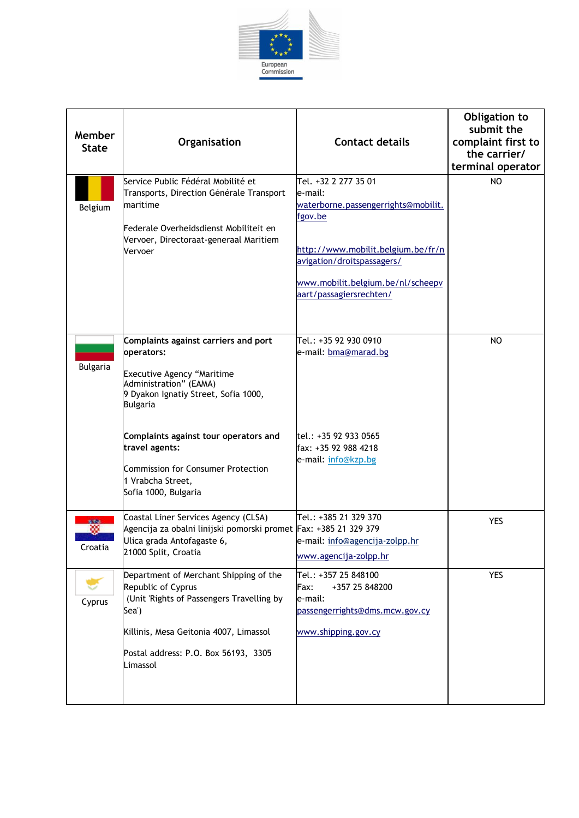

| Member<br><b>State</b> | Organisation                                                                                                                                                                                                                                                                                                 | <b>Contact details</b>                                                                                                                                                                                                | Obligation to<br>submit the<br>complaint first to<br>the carrier/<br>terminal operator |
|------------------------|--------------------------------------------------------------------------------------------------------------------------------------------------------------------------------------------------------------------------------------------------------------------------------------------------------------|-----------------------------------------------------------------------------------------------------------------------------------------------------------------------------------------------------------------------|----------------------------------------------------------------------------------------|
| Belgium                | Service Public Fédéral Mobilité et<br>Transports, Direction Générale Transport<br><b>Imaritime</b><br>lFederale Overheidsdienst Mobiliteit en<br>Vervoer, Directoraat-generaal Maritiem<br>Vervoer                                                                                                           | Tel. +32 2 277 35 01<br>e-mail:<br>waterborne.passengerrights@mobilit.<br>fgov.be<br>http://www.mobilit.belgium.be/fr/n<br>avigation/droitspassagers/<br>www.mobilit.belgium.be/nl/scheepv<br>aart/passagiersrechten/ | NO.                                                                                    |
| <b>Bulgaria</b>        | Complaints against carriers and port<br>operators:<br>Executive Agency "Maritime<br>Administration" (EAMA)<br>9 Dyakon Ignatiy Street, Sofia 1000,<br>Bulgaria<br>Complaints against tour operators and<br>travel agents:<br>Commission for Consumer Protection<br>1 Vrabcha Street,<br>Sofia 1000, Bulgaria | Tel.: +35 92 930 0910<br>e-mail: bma@marad.bg<br>tel.: +35 92 933 0565<br>fax: +35 92 988 4218<br>e-mail: info@kzp.bg                                                                                                 | NO                                                                                     |
| Croatia                | Coastal Liner Services Agency (CLSA)<br>Agencija za obalni linijski pomorski promet Fax: +385 21 329 379<br>Ulica grada Antofagaste 6,<br>21000 Split, Croatia                                                                                                                                               | Tel.: +385 21 329 370<br>e-mail: info@agencija-zolpp.hr<br>www.agencija-zolpp.hr                                                                                                                                      | <b>YES</b>                                                                             |
| Cyprus                 | Department of Merchant Shipping of the<br>Republic of Cyprus<br>(Unit 'Rights of Passengers Travelling by<br>Sea')<br>Killinis, Mesa Geitonia 4007, Limassol<br>Postal address: P.O. Box 56193, 3305<br>Limassol                                                                                             | Tel.: +357 25 848100<br>+357 25 848200<br>Fax:<br>e-mail:<br>passengerrights@dms.mcw.gov.cy<br>www.shipping.gov.cy                                                                                                    | <b>YES</b>                                                                             |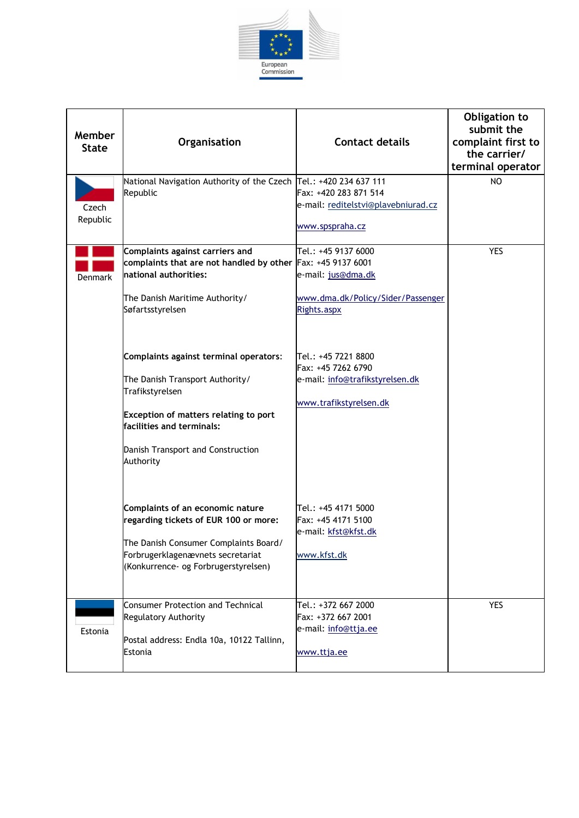

| Member<br><b>State</b> | Organisation                                                                                                                                                                                                                                                                                                                                                                                          | <b>Contact details</b>                                                                                                                                                                                  | Obligation to<br>submit the<br>complaint first to<br>the carrier/<br>terminal operator |
|------------------------|-------------------------------------------------------------------------------------------------------------------------------------------------------------------------------------------------------------------------------------------------------------------------------------------------------------------------------------------------------------------------------------------------------|---------------------------------------------------------------------------------------------------------------------------------------------------------------------------------------------------------|----------------------------------------------------------------------------------------|
| Czech<br>Republic      | National Navigation Authority of the Czech Tel.: +420 234 637 111<br>Republic                                                                                                                                                                                                                                                                                                                         | Fax: +420 283 871 514<br>e-mail: reditelstvi@plavebniurad.cz<br>www.spspraha.cz                                                                                                                         | NO                                                                                     |
| Denmark                | Complaints against carriers and<br>complaints that are not handled by other Fax: +45 9137 6001<br>national authorities:<br>The Danish Maritime Authority/<br>Søfartsstyrelsen<br>Complaints against terminal operators:<br>The Danish Transport Authority/<br>Trafikstyrelsen<br>Exception of matters relating to port<br>facilities and terminals:<br>Danish Transport and Construction<br>Authority | Tel.: +45 9137 6000<br>e-mail: jus@dma.dk<br>www.dma.dk/Policy/Sider/Passenger<br>Rights.aspx<br>Tel.: +45 7221 8800<br>Fax: +45 7262 6790<br>e-mail: info@trafikstyrelsen.dk<br>www.trafikstyrelsen.dk | <b>YES</b>                                                                             |
|                        | Complaints of an economic nature<br>regarding tickets of EUR 100 or more:<br>The Danish Consumer Complaints Board/<br>Forbrugerklagenævnets secretariat<br>(Konkurrence- og Forbrugerstyrelsen)                                                                                                                                                                                                       | Tel.: +45 4171 5000<br>Fax: +45 4171 5100<br>e-mail: kfst@kfst.dk<br>www.kfst.dk                                                                                                                        |                                                                                        |
| Estonia                | Consumer Protection and Technical<br><b>Regulatory Authority</b><br>Postal address: Endla 10a, 10122 Tallinn,<br>Estonia                                                                                                                                                                                                                                                                              | Tel.: +372 667 2000<br>Fax: +372 667 2001<br>e-mail: info@ttja.ee<br>www.ttja.ee                                                                                                                        | <b>YES</b>                                                                             |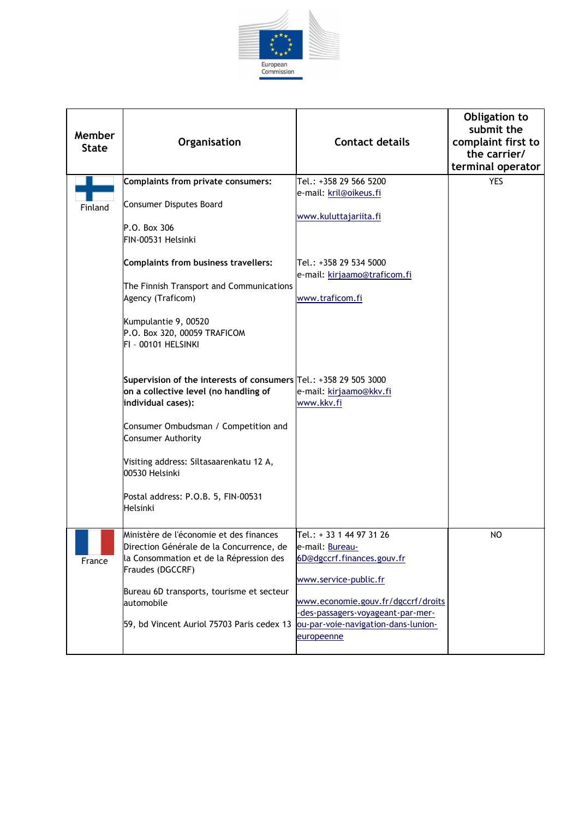

| Member<br><b>State</b> | Organisation                                                                                                                                                                                                                                                                                                                                                                                                                                                                                                                                                                                                               | <b>Contact details</b>                                                                                                                                                                                                             | Obligation to<br>submit the<br>complaint first to<br>the carrier/<br>terminal operator |
|------------------------|----------------------------------------------------------------------------------------------------------------------------------------------------------------------------------------------------------------------------------------------------------------------------------------------------------------------------------------------------------------------------------------------------------------------------------------------------------------------------------------------------------------------------------------------------------------------------------------------------------------------------|------------------------------------------------------------------------------------------------------------------------------------------------------------------------------------------------------------------------------------|----------------------------------------------------------------------------------------|
| Finland                | Complaints from private consumers:<br><b>Consumer Disputes Board</b><br>P.O. Box 306<br>FIN-00531 Helsinki<br><b>Complaints from business travellers:</b><br>The Finnish Transport and Communications<br>Agency (Traficom)<br>Kumpulantie 9, 00520<br>P.O. Box 320, 00059 TRAFICOM<br>FI - 00101 HELSINKI<br>Supervision of the interests of consumers Tel.: +358 29 505 3000<br>on a collective level (no handling of<br>individual cases):<br>Consumer Ombudsman / Competition and<br>Consumer Authority<br>Visiting address: Siltasaarenkatu 12 A,<br>00530 Helsinki<br>Postal address: P.O.B. 5, FIN-00531<br>Helsinki | Tel.: +358 29 566 5200<br>e-mail: kril@oikeus.fi<br>www.kuluttajariita.fi<br>Tel.: +358 29 534 5000<br>e-mail: kirjaamo@traficom.fi<br>www.traficom.fi<br>e-mail: kirjaamo@kkv.fi<br>www.kkv.fi                                    | <b>YES</b>                                                                             |
| France                 | Ministère de l'économie et des finances<br>Direction Générale de la Concurrence, de<br>la Consommation et de la Répression des<br>Fraudes (DGCCRF)<br>Bureau 6D transports, tourisme et secteur<br>automobile<br>59, bd Vincent Auriol 75703 Paris cedex 13                                                                                                                                                                                                                                                                                                                                                                | Tel.: + 33 1 44 97 31 26<br>e-mail: Bureau-<br>6D@dgccrf.finances.gouv.fr<br>www.service-public.fr<br>www.economie.gouv.fr/dgccrf/droits<br>-des-passagers-voyageant-par-mer-<br>ou-par-voie-navigation-dans-lunion-<br>europeenne | NO                                                                                     |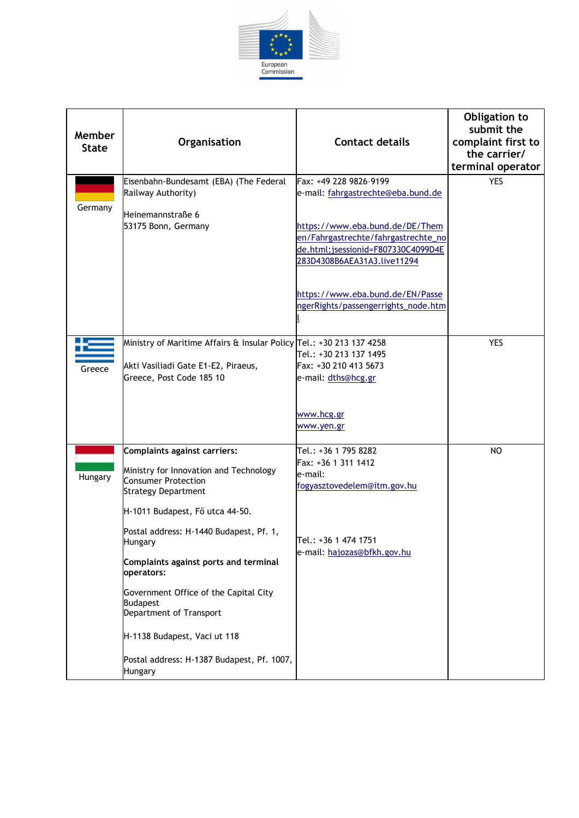

| Member<br><b>State</b> | Organisation                                                                                                                                                                                                                                                                                                                                                                                                                                                              | <b>Contact details</b>                                                                                                                                                                                                                                                                 | Obligation to<br>submit the<br>complaint first to<br>the carrier/<br>terminal operator |
|------------------------|---------------------------------------------------------------------------------------------------------------------------------------------------------------------------------------------------------------------------------------------------------------------------------------------------------------------------------------------------------------------------------------------------------------------------------------------------------------------------|----------------------------------------------------------------------------------------------------------------------------------------------------------------------------------------------------------------------------------------------------------------------------------------|----------------------------------------------------------------------------------------|
| Germany                | Eisenbahn-Bundesamt (EBA) (The Federal<br>Railway Authority)<br>Heinemannstraße 6<br>53175 Bonn, Germany                                                                                                                                                                                                                                                                                                                                                                  | Fax: +49 228 9826-9199<br>e-mail: fahrgastrechte@eba.bund.de<br>https://www.eba.bund.de/DE/Them<br>en/Fahrgastrechte/fahrgastrechte_no<br>de.html;jsessionid=F807330C4099D4E<br>283D4308B6AEA31A3.live11294<br>https://www.eba.bund.de/EN/Passe<br>ngerRights/passengerrights_node.htm | <b>YES</b>                                                                             |
| Greece                 | Ministry of Maritime Affairs & Insular Policy Tel.: +30 213 137 4258<br>Akti Vasiliadi Gate E1-E2, Piraeus,<br>Greece, Post Code 185 10                                                                                                                                                                                                                                                                                                                                   | Tel.: +30 213 137 1495<br>Fax: +30 210 413 5673<br>e-mail: dths@hcg.gr<br>www.hcg.gr<br>www.yen.gr                                                                                                                                                                                     | <b>YES</b>                                                                             |
| Hungary                | <b>Complaints against carriers:</b><br>Ministry for Innovation and Technology<br><b>Consumer Protection</b><br><b>Strategy Department</b><br>H-1011 Budapest, Fő utca 44-50.<br>Postal address: H-1440 Budapest, Pf. 1,<br>Hungary<br>Complaints against ports and terminal<br>operators:<br>Government Office of the Capital City<br><b>Budapest</b><br>Department of Transport<br>H-1138 Budapest, Vaci ut 118<br>Postal address: H-1387 Budapest, Pf. 1007,<br>Hungary | Tel.: +36 1 795 8282<br>Fax: +36 1 311 1412<br>e-mail:<br>fogyasztovedelem@itm.gov.hu<br>lTel.: +36 1 474 1751<br>e-mail: hajozas@bfkh.gov.hu                                                                                                                                          | NO                                                                                     |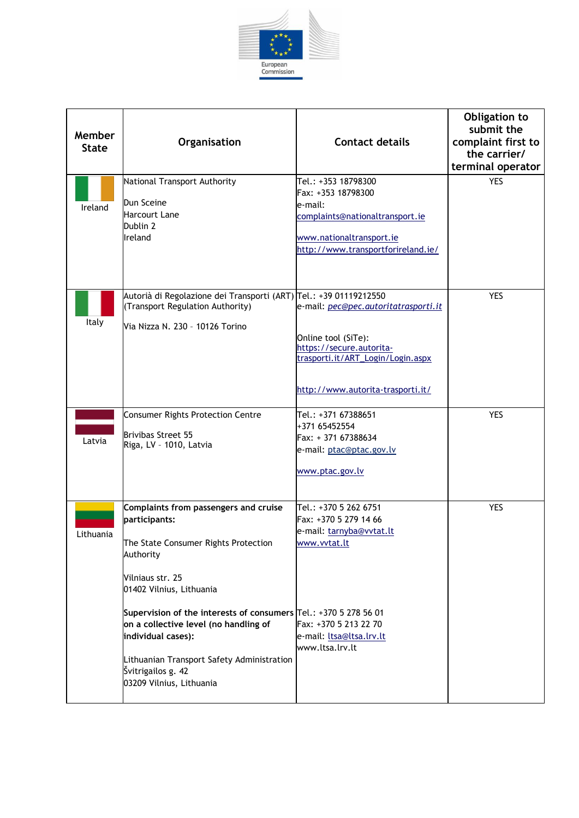

| Member<br><b>State</b> | Organisation                                                                                                                                                                                                                                                                                                                                                                                   | <b>Contact details</b>                                                                                                                                                                   | Obligation to<br>submit the<br>complaint first to<br>the carrier/<br>terminal operator |
|------------------------|------------------------------------------------------------------------------------------------------------------------------------------------------------------------------------------------------------------------------------------------------------------------------------------------------------------------------------------------------------------------------------------------|------------------------------------------------------------------------------------------------------------------------------------------------------------------------------------------|----------------------------------------------------------------------------------------|
| Ireland                | National Transport Authority<br>Dun Sceine<br><b>Harcourt Lane</b><br>Dublin 2<br>Ireland                                                                                                                                                                                                                                                                                                      | Tel.: +353 18798300<br>Fax: +353 18798300<br>e-mail:<br>complaints@nationaltransport.ie<br>www.nationaltransport.ie<br>http://www.transportforireland.ie/                                | <b>YES</b>                                                                             |
| Italy                  | Autorià di Regolazione dei Transporti (ART) Tel.: +39 01119212550<br>(Transport Regulation Authority)<br>Via Nizza N. 230 - 10126 Torino<br>Consumer Rights Protection Centre                                                                                                                                                                                                                  | e-mail: pec@pec.autoritatrasporti.it<br>Online tool (SiTe):<br>https://secure.autorita-<br>trasporti.it/ART_Login/Login.aspx<br>http://www.autorita-trasporti.it/<br>Tel.: +371 67388651 | <b>YES</b><br><b>YES</b>                                                               |
| Latvia                 | Brivibas Street 55<br>Riga, LV - 1010, Latvia                                                                                                                                                                                                                                                                                                                                                  | +371 65452554<br>Fax: + 371 67388634<br>e-mail: ptac@ptac.gov.lv<br>www.ptac.gov.lv                                                                                                      |                                                                                        |
| Lithuania              | Complaints from passengers and cruise<br>participants:<br>The State Consumer Rights Protection<br>Authority<br>Vilniaus str. 25<br>01402 Vilnius, Lithuania<br>Supervision of the interests of consumers Tel.: +370 5 278 56 01<br>on a collective level (no handling of<br>individual cases):<br>Lithuanian Transport Safety Administration<br>Švitrigailos g. 42<br>03209 Vilnius, Lithuania | Tel.: +370 5 262 6751<br>Fax: +370 5 279 14 66<br>e-mail: tarnyba@vvtat.lt<br>www.vvtat.lt<br>Fax: +370 5 213 22 70<br>e-mail: ltsa@ltsa.lrv.lt<br>www.ltsa.lrv.lt                       | <b>YES</b>                                                                             |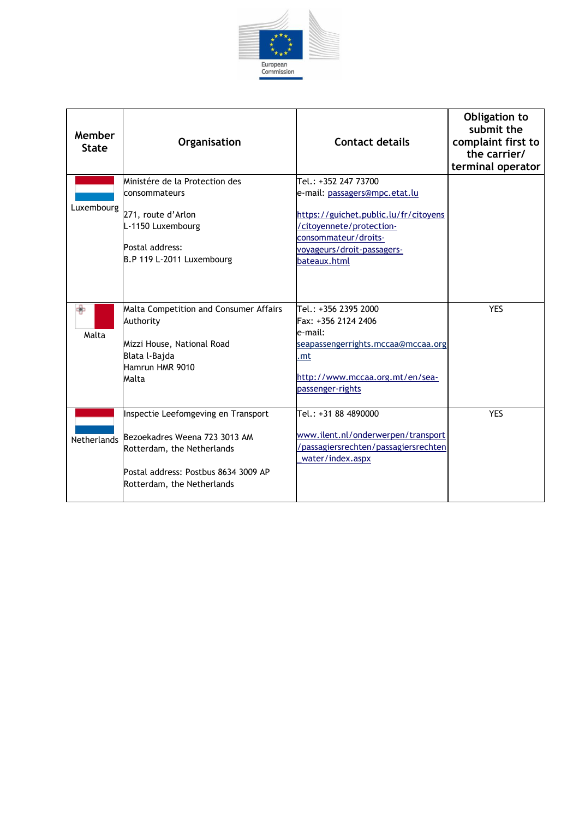

| Member<br><b>State</b> | Organisation                                                                                                                                                                         | <b>Contact details</b>                                                                                                                                                                           | Obligation to<br>submit the<br>complaint first to<br>the carrier/<br>terminal operator |
|------------------------|--------------------------------------------------------------------------------------------------------------------------------------------------------------------------------------|--------------------------------------------------------------------------------------------------------------------------------------------------------------------------------------------------|----------------------------------------------------------------------------------------|
| Luxembourg             | Ministére de la Protection des<br>consommateurs<br>271, route d'Arlon<br>L-1150 Luxembourg<br>Postal address:<br>B.P 119 L-2011 Luxembourg                                           | Tel.: +352 247 73700<br>e-mail: passagers@mpc.etat.lu<br>https://guichet.public.lu/fr/citoyens<br>/citoyennete/protection-<br>consommateur/droits-<br>voyageurs/droit-passagers-<br>bateaux.html |                                                                                        |
| Malta                  | Malta Competition and Consumer Affairs<br>Authority<br>Mizzi House, National Road<br>Blata l-Bajda<br>Hamrun HMR 9010<br>Malta                                                       | Tel.: +356 2395 2000<br>Fax: +356 2124 2406<br>le-mail:<br>seapassengerrights.mccaa@mccaa.org<br>.mt<br>http://www.mccaa.org.mt/en/sea-<br>passenger-rights                                      | <b>YES</b>                                                                             |
|                        | Inspectie Leefomgeving en Transport<br>Netherlands Bezoekadres Weena 723 3013 AM<br>Rotterdam, the Netherlands<br>Postal address: Postbus 8634 3009 AP<br>Rotterdam, the Netherlands | Tel.: +31 88 4890000<br>www.ilent.nl/onderwerpen/transport<br>/passagiersrechten/passagiersrechten<br>water/index.aspx                                                                           | <b>YES</b>                                                                             |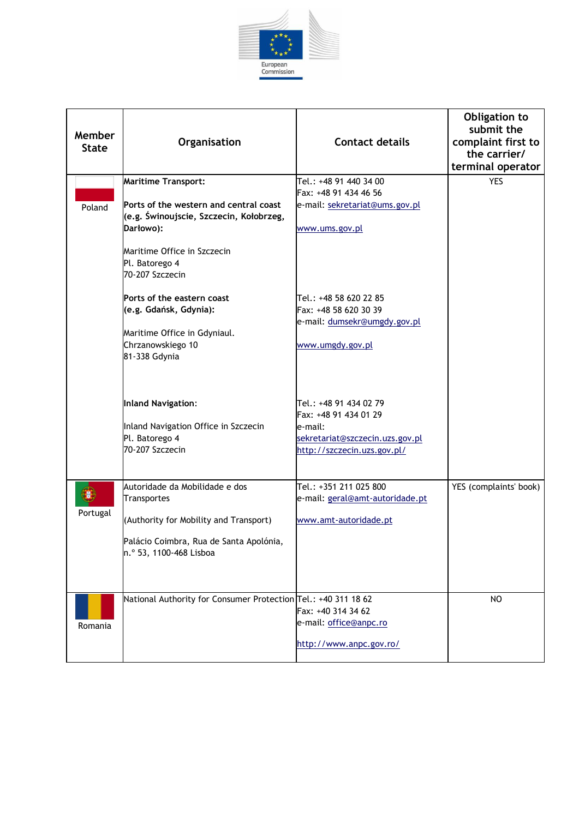

| Member<br><b>State</b> | Organisation                                                                                                                                                                                     | <b>Contact details</b>                                                                                                       | Obligation to<br>submit the<br>complaint first to<br>the carrier/<br>terminal operator |
|------------------------|--------------------------------------------------------------------------------------------------------------------------------------------------------------------------------------------------|------------------------------------------------------------------------------------------------------------------------------|----------------------------------------------------------------------------------------|
| Poland                 | <b>Maritime Transport:</b><br>Ports of the western and central coast<br>(e.g. Świnoujscie, Szczecin, Kołobrzeg,<br>Darłowo):<br>Maritime Office in Szczecin<br>Pl. Batorego 4<br>70-207 Szczecin | Tel.: +48 91 440 34 00<br>Fax: +48 91 434 46 56<br>e-mail: sekretariat@ums.gov.pl<br>www.ums.gov.pl                          | <b>YES</b>                                                                             |
|                        | Ports of the eastern coast<br>(e.g. Gdańsk, Gdynia):<br>Maritime Office in Gdyniaul.<br>Chrzanowskiego 10<br>81-338 Gdynia                                                                       | Tel.: +48 58 620 22 85<br>Fax: +48 58 620 30 39<br>e-mail: dumsekr@umgdy.gov.pl<br>www.umgdy.gov.pl                          |                                                                                        |
|                        | Inland Navigation:<br>Inland Navigation Office in Szczecin<br>Pl. Batorego 4<br>70-207 Szczecin                                                                                                  | Tel.: +48 91 434 02 79<br>Fax: +48 91 434 01 29<br>e-mail:<br>sekretariat@szczecin.uzs.gov.pl<br>http://szczecin.uzs.gov.pl/ |                                                                                        |
| Portugal               | Autoridade da Mobilidade e dos<br>Transportes<br>(Authority for Mobility and Transport)<br>Palácio Coimbra, Rua de Santa Apolónia,<br>n.º 53, 1100-468 Lisboa                                    | Tel.: +351 211 025 800<br>e-mail: geral@amt-autoridade.pt<br>www.amt-autoridade.pt                                           | YES (complaints' book)                                                                 |
| Romania                | National Authority for Consumer Protection Tel.: +40 311 18 62                                                                                                                                   | Fax: +40 314 34 62<br>e-mail: office@anpc.ro<br>http://www.anpc.gov.ro/                                                      | <b>NO</b>                                                                              |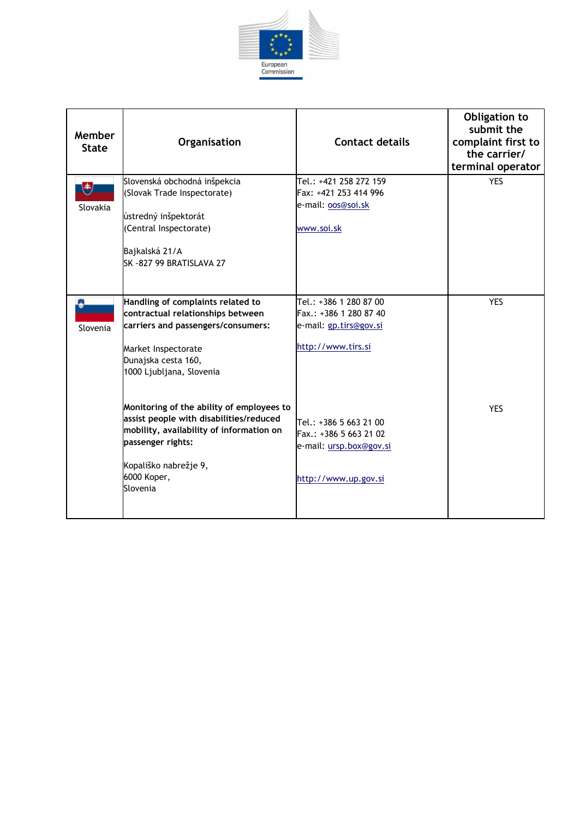

| Member<br><b>State</b> | Organisation                                                                                                                                                                                              | <b>Contact details</b>                                                                              | Obligation to<br>submit the<br>complaint first to<br>the carrier/<br>terminal operator |
|------------------------|-----------------------------------------------------------------------------------------------------------------------------------------------------------------------------------------------------------|-----------------------------------------------------------------------------------------------------|----------------------------------------------------------------------------------------|
| U<br>Slovakia          | Slovenská obchodná inšpekcia<br>(Slovak Trade Inspectorate)<br>ústredný inšpektorát<br>(Central Inspectorate)<br>Bajkalská 21/A<br>SK-827 99 BRATISLAVA 27                                                | Tel.: +421 258 272 159<br>Fax: +421 253 414 996<br>e-mail: oos@soi.sk<br>www.soi.sk                 | <b>YES</b>                                                                             |
| Slovenia               | Handling of complaints related to<br>contractual relationships between<br>carriers and passengers/consumers:<br>Market Inspectorate<br>Dunajska cesta 160,<br>1000 Ljubljana, Slovenia                    | Tel.: +386 1 280 87 00<br>Fax.: +386 1 280 87 40<br>e-mail: gp.tirs@gov.si<br>http://www.tirs.si    | <b>YES</b>                                                                             |
|                        | Monitoring of the ability of employees to<br>assist people with disabilities/reduced<br>mobility, availability of information on<br>passenger rights:<br>Kopališko nabrežje 9,<br>6000 Koper,<br>Slovenia | Tel.: +386 5 663 21 00<br>Fax.: +386 5 663 21 02<br>e-mail: ursp.box@gov.si<br>http://www.up.gov.si | <b>YES</b>                                                                             |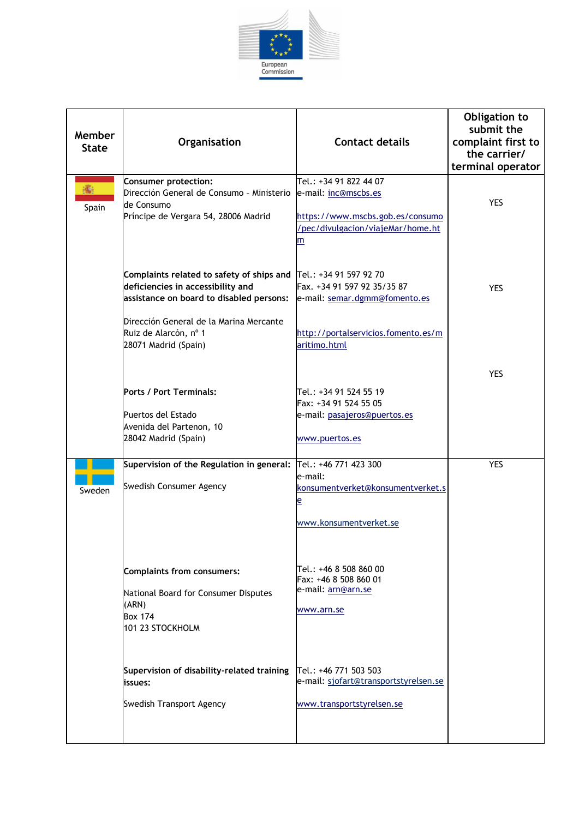

| Member<br><b>State</b> | Organisation                                                                                                                                                                                                           | <b>Contact details</b>                                                                                                                                   | Obligation to<br>submit the<br>complaint first to<br>the carrier/<br>terminal operator |
|------------------------|------------------------------------------------------------------------------------------------------------------------------------------------------------------------------------------------------------------------|----------------------------------------------------------------------------------------------------------------------------------------------------------|----------------------------------------------------------------------------------------|
| 瘉<br>Spain             | Consumer protection:<br>Dirección General de Consumo - Ministerio<br>de Consumo<br>Príncipe de Vergara 54, 28006 Madrid                                                                                                | Tel.: +34 91 822 44 07<br>e-mail: inc@mscbs.es<br>https://www.mscbs.gob.es/consumo<br>/pec/divulgacion/viajeMar/home.ht<br>m                             | <b>YES</b>                                                                             |
|                        | Complaints related to safety of ships and<br>deficiencies in accessibility and<br>assistance on board to disabled persons:<br>Dirección General de la Marina Mercante<br>Ruiz de Alarcón, nº 1<br>28071 Madrid (Spain) | Tel.: +34 91 597 92 70<br>Fax. +34 91 597 92 35/35 87<br>e-mail: semar.dgmm@fomento.es<br>http://portalservicios.fomento.es/m<br>aritimo.html            | <b>YES</b>                                                                             |
|                        | <b>Ports / Port Terminals:</b><br>Puertos del Estado<br>Avenida del Partenon, 10<br>28042 Madrid (Spain)                                                                                                               | lTel.: +34 91 524 55 19<br>Fax: +34 91 524 55 05<br>e-mail: pasajeros@puertos.es<br>www.puertos.es                                                       | <b>YES</b>                                                                             |
| Sweden                 | Supervision of the Regulation in general:<br>Swedish Consumer Agency<br><b>Complaints from consumers:</b>                                                                                                              | Tel.: +46 771 423 300<br>le-mail:<br>konsumentverket@konsumentverket.s<br>e<br>www.konsumentverket.se<br>Tel.: +46 8 508 860 00<br>Fax: +46 8 508 860 01 | <b>YES</b>                                                                             |
|                        | National Board for Consumer Disputes<br>(ARN)<br><b>Box 174</b><br>101 23 STOCKHOLM<br>Supervision of disability-related training<br>issues:                                                                           | e-mail: arn@arn.se<br>www.arn.se<br>Tel.: +46 771 503 503<br>e-mail: sjofart@transportstyrelsen.se                                                       |                                                                                        |
|                        | Swedish Transport Agency                                                                                                                                                                                               | www.transportstyrelsen.se                                                                                                                                |                                                                                        |